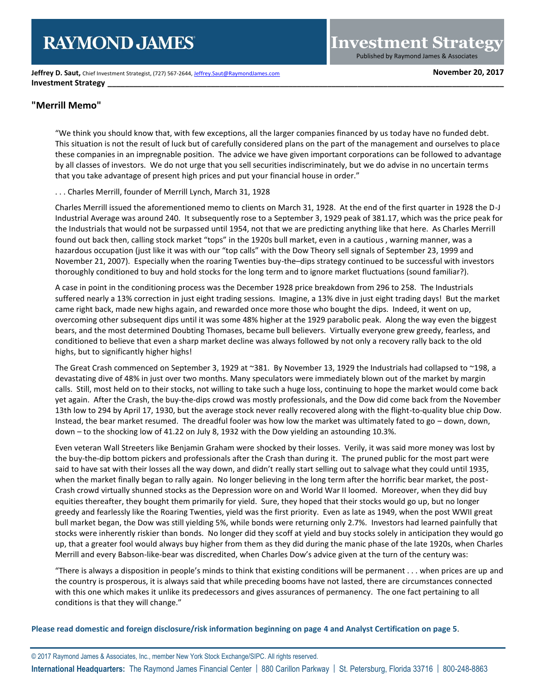# **RAYMOND JAMES**

**Jeffrey D. Saut, Chief Investment Strategist, (727) 567-2644[, Jeffrey.Saut@RaymondJames.com](mailto:Jeffrey.Saut@RaymondJames.com) Movember 20, 2017 Investment Strategy** 

**Investment Strategy** Published by Raymond James & Associates

### **"Merrill Memo"**

"We think you should know that, with few exceptions, all the larger companies financed by us today have no funded debt. This situation is not the result of luck but of carefully considered plans on the part of the management and ourselves to place these companies in an impregnable position. The advice we have given important corporations can be followed to advantage by all classes of investors. We do not urge that you sell securities indiscriminately, but we do advise in no uncertain terms that you take advantage of present high prices and put your financial house in order."

#### . . . Charles Merrill, founder of Merrill Lynch, March 31, 1928

Charles Merrill issued the aforementioned memo to clients on March 31, 1928. At the end of the first quarter in 1928 the D-J Industrial Average was around 240. It subsequently rose to a September 3, 1929 peak of 381.17, which was the price peak for the Industrials that would not be surpassed until 1954, not that we are predicting anything like that here. As Charles Merrill found out back then, calling stock market "tops" in the 1920s bull market, even in a cautious , warning manner, was a hazardous occupation (just like it was with our "top calls" with the Dow Theory sell signals of September 23, 1999 and November 21, 2007). Especially when the roaring Twenties buy-the–dips strategy continued to be successful with investors thoroughly conditioned to buy and hold stocks for the long term and to ignore market fluctuations (sound familiar?).

A case in point in the conditioning process was the December 1928 price breakdown from 296 to 258. The Industrials suffered nearly a 13% correction in just eight trading sessions. Imagine, a 13% dive in just eight trading days! But the market came right back, made new highs again, and rewarded once more those who bought the dips. Indeed, it went on up, overcoming other subsequent dips until it was some 48% higher at the 1929 parabolic peak. Along the way even the biggest bears, and the most determined Doubting Thomases, became bull believers. Virtually everyone grew greedy, fearless, and conditioned to believe that even a sharp market decline was always followed by not only a recovery rally back to the old highs, but to significantly higher highs!

The Great Crash commenced on September 3, 1929 at ~381. By November 13, 1929 the Industrials had collapsed to ~198, a devastating dive of 48% in just over two months. Many speculators were immediately blown out of the market by margin calls. Still, most held on to their stocks, not willing to take such a huge loss, continuing to hope the market would come back yet again. After the Crash, the buy-the-dips crowd was mostly professionals, and the Dow did come back from the November 13th low to 294 by April 17, 1930, but the average stock never really recovered along with the flight-to-quality blue chip Dow. Instead, the bear market resumed. The dreadful fooler was how low the market was ultimately fated to go – down, down, down – to the shocking low of 41.22 on July 8, 1932 with the Dow yielding an astounding 10.3%.

Even veteran Wall Streeters like Benjamin Graham were shocked by their losses. Verily, it was said more money was lost by the buy-the-dip bottom pickers and professionals after the Crash than during it. The pruned public for the most part were said to have sat with their losses all the way down, and didn't really start selling out to salvage what they could until 1935, when the market finally began to rally again. No longer believing in the long term after the horrific bear market, the post-Crash crowd virtually shunned stocks as the Depression wore on and World War II loomed. Moreover, when they did buy equities thereafter, they bought them primarily for yield. Sure, they hoped that their stocks would go up, but no longer greedy and fearlessly like the Roaring Twenties, yield was the first priority. Even as late as 1949, when the post WWII great bull market began, the Dow was still yielding 5%, while bonds were returning only 2.7%. Investors had learned painfully that stocks were inherently riskier than bonds. No longer did they scoff at yield and buy stocks solely in anticipation they would go up, that a greater fool would always buy higher from them as they did during the manic phase of the late 1920s, when Charles Merrill and every Babson-like-bear was discredited, when Charles Dow's advice given at the turn of the century was:

"There is always a disposition in people's minds to think that existing conditions will be permanent . . . when prices are up and the country is prosperous, it is always said that while preceding booms have not lasted, there are circumstances connected with this one which makes it unlike its predecessors and gives assurances of permanency. The one fact pertaining to all conditions is that they will change."

**Please read domestic and foreign disclosure/risk information beginning on page 4 and Analyst Certification on page 5**.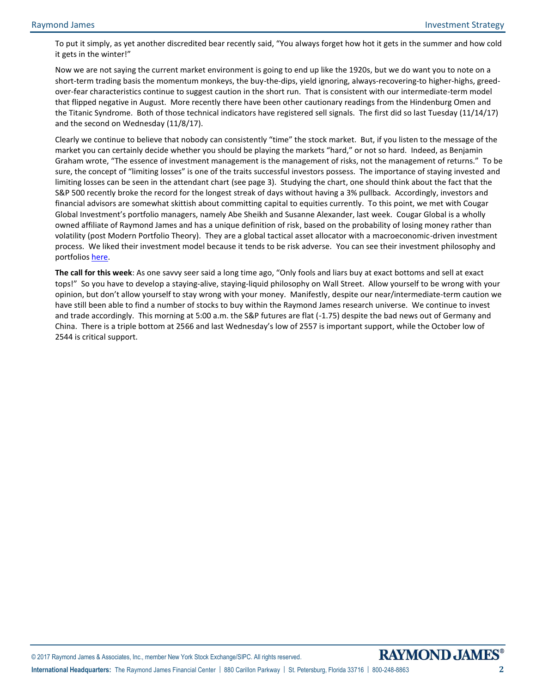To put it simply, as yet another discredited bear recently said, "You always forget how hot it gets in the summer and how cold it gets in the winter!"

Now we are not saying the current market environment is going to end up like the 1920s, but we do want you to note on a short-term trading basis the momentum monkeys, the buy-the-dips, yield ignoring, always-recovering-to higher-highs, greedover-fear characteristics continue to suggest caution in the short run. That is consistent with our intermediate-term model that flipped negative in August. More recently there have been other cautionary readings from the Hindenburg Omen and the Titanic Syndrome. Both of those technical indicators have registered sell signals. The first did so last Tuesday (11/14/17) and the second on Wednesday (11/8/17).

Clearly we continue to believe that nobody can consistently "time" the stock market. But, if you listen to the message of the market you can certainly decide whether you should be playing the markets "hard," or not so hard. Indeed, as Benjamin Graham wrote, "The essence of investment management is the management of risks, not the management of returns." To be sure, the concept of "limiting losses" is one of the traits successful investors possess. The importance of staying invested and limiting losses can be seen in the attendant chart (see page 3). Studying the chart, one should think about the fact that the S&P 500 recently broke the record for the longest streak of days without having a 3% pullback. Accordingly, investors and financial advisors are somewhat skittish about committing capital to equities currently. To this point, we met with Cougar Global Investment's portfolio managers, namely Abe Sheikh and Susanne Alexander, last week. Cougar Global is a wholly owned affiliate of Raymond James and has a unique definition of risk, based on the probability of losing money rather than volatility (post Modern Portfolio Theory). They are a global tactical asset allocator with a macroeconomic-driven investment process. We liked their investment model because it tends to be risk adverse. You can see their investment philosophy and portfolio[s here.](http://www.cougarglobal.com/)

**The call for this week**: As one savvy seer said a long time ago, "Only fools and liars buy at exact bottoms and sell at exact tops!" So you have to develop a staying-alive, staying-liquid philosophy on Wall Street. Allow yourself to be wrong with your opinion, but don't allow yourself to stay wrong with your money. Manifestly, despite our near/intermediate-term caution we have still been able to find a number of stocks to buy within the Raymond James research universe. We continue to invest and trade accordingly. This morning at 5:00 a.m. the S&P futures are flat (-1.75) despite the bad news out of Germany and China. There is a triple bottom at 2566 and last Wednesday's low of 2557 is important support, while the October low of 2544 is critical support.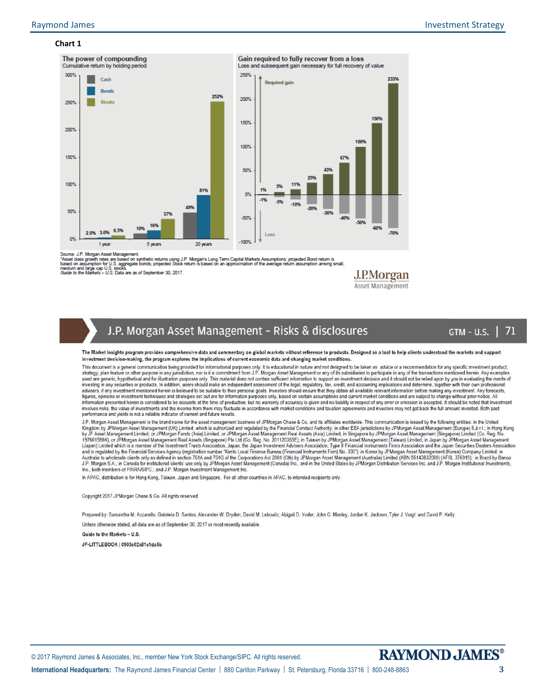#### **Chart 1**



Source: J.P. Morgan Asset Management.

Source. J.F. morgan maser management.<br>1945 March March March March March March March States (J.P. Morgan's Long Term Capital Markets Assumptions; projected Bond return is<br>1948ed on assumption for U.S. aggregate bonds; proj

J.P.Morgan Asset Management

## J.P. Morgan Asset Management - Risks & disclosures

#### $GTM - U.S.$ 71

The Market Insights program provides comprehensive data and commentary on global markets without reference to products. Designed as a tool to help clients understand the markets and support investment decision-making, the program explores the implications of current economic data and changing market conditions

This document is a general communication being provided for informational purposes only. It is educational in nature and not designed to be taken as advice or a recommendation for any specific investment product, strategy, investing in any securities or products. In addition, users should make an independent assessment of the legal, regulatory, tax, credit, and accounting implications and determine, together with their own professional<br>advis figures, opinions or investment techniques and strategies set out are for information purposes only, based on certain assumptions and current market conditions and are subject to change without prior notice. All<br>informatio involves risks, the value of investments and the income from them may fluctuate in accordance with market conditions and taxation agreements and investors may not get back the full amount invested. Both past performance and vields is not a reliable indicator of current and future results.

U.P. Morgan Asset Management is the brand name for the asset management business of JPMorgan Chase & Co. and its affiliates worldwide. This communication is issued by the following entities: in the United Kingdom by JPMorg J.P. Morgan S.A.; in Canada for institutional clients' use only by JPMorgan Asset Management (Canada) Inc., and in the United States by JPMorgan Distribution Services Inc. and J.P. Morgan Institutional Investments, Inc., both members of FINRA/SIPC.; and J.P. Morgan Investment Management Inc.

In APAC, distribution is for Hong Kong, Taiwan, Japan and Singapore. For all other countries in APAC, to intended recipients only.

Copyright 2017 JPMorgan Chase & Co. All rights reserved

Prepared by: Samantha M. Azzarello, Gabriela D. Santos, Alexander W. Dryden, David M. Lebovitz, Abigail D. Yoder, John C. Manley, Jordan K. Jackson, Tyler J. Voigt and David P. Kelly.

Unless otherwise stated, all data are as of September 30, 2017 or most recently available.

Guide to the Markets - U.S.

JP-LITTLEBOOK | 0903c02a81c1da5b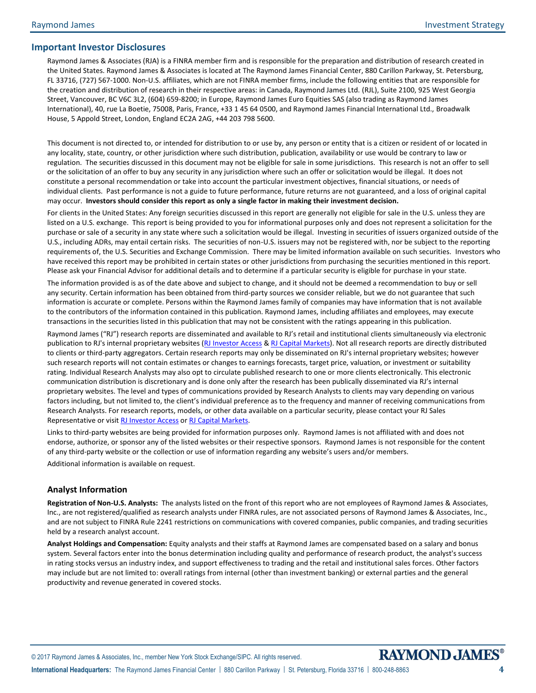#### **Important Investor Disclosures**

Raymond James & Associates (RJA) is a FINRA member firm and is responsible for the preparation and distribution of research created in the United States. Raymond James & Associates is located at The Raymond James Financial Center, 880 Carillon Parkway, St. Petersburg, FL 33716, (727) 567-1000. Non-U.S. affiliates, which are not FINRA member firms, include the following entities that are responsible for the creation and distribution of research in their respective areas: in Canada, Raymond James Ltd. (RJL), Suite 2100, 925 West Georgia Street, Vancouver, BC V6C 3L2, (604) 659-8200; in Europe, Raymond James Euro Equities SAS (also trading as Raymond James International), 40, rue La Boetie, 75008, Paris, France, +33 1 45 64 0500, and Raymond James Financial International Ltd., Broadwalk House, 5 Appold Street, London, England EC2A 2AG, +44 203 798 5600.

This document is not directed to, or intended for distribution to or use by, any person or entity that is a citizen or resident of or located in any locality, state, country, or other jurisdiction where such distribution, publication, availability or use would be contrary to law or regulation. The securities discussed in this document may not be eligible for sale in some jurisdictions. This research is not an offer to sell or the solicitation of an offer to buy any security in any jurisdiction where such an offer or solicitation would be illegal. It does not constitute a personal recommendation or take into account the particular investment objectives, financial situations, or needs of individual clients. Past performance is not a guide to future performance, future returns are not guaranteed, and a loss of original capital may occur. **Investors should consider this report as only a single factor in making their investment decision.**

For clients in the United States: Any foreign securities discussed in this report are generally not eligible for sale in the U.S. unless they are listed on a U.S. exchange. This report is being provided to you for informational purposes only and does not represent a solicitation for the purchase or sale of a security in any state where such a solicitation would be illegal. Investing in securities of issuers organized outside of the U.S., including ADRs, may entail certain risks. The securities of non-U.S. issuers may not be registered with, nor be subject to the reporting requirements of, the U.S. Securities and Exchange Commission. There may be limited information available on such securities. Investors who have received this report may be prohibited in certain states or other jurisdictions from purchasing the securities mentioned in this report. Please ask your Financial Advisor for additional details and to determine if a particular security is eligible for purchase in your state.

The information provided is as of the date above and subject to change, and it should not be deemed a recommendation to buy or sell any security. Certain information has been obtained from third-party sources we consider reliable, but we do not guarantee that such information is accurate or complete. Persons within the Raymond James family of companies may have information that is not available to the contributors of the information contained in this publication. Raymond James, including affiliates and employees, may execute transactions in the securities listed in this publication that may not be consistent with the ratings appearing in this publication.

Raymond James ("RJ") research reports are disseminated and available to RJ's retail and institutional clients simultaneously via electronic publication to RJ's internal proprietary websites [\(RJ Investor Access](https://urldefense.proofpoint.com/v2/url?u=https-3A__investoraccess.rjf.com_&d=CwMFAg&c=Od00qP2XTg0tXf_H69-T2w&r=rNefLiWFkSilhqVDo70w43i53TsltTjCWk3T7beArK4&m=PC3IXwh9yes797fhP8lxVmKOzaJCoi7yXoDL8EwSFBo&s=y3WQdEai7OJL0j0ejHq1auUdg8kPQfDCBMkmD2HMOkE&e=) [& RJ Capital Markets\)](https://urldefense.proofpoint.com/v2/url?u=https-3A__www.rjcapitalmarkets.com_Logon_Index&d=CwMFAg&c=Od00qP2XTg0tXf_H69-T2w&r=rNefLiWFkSilhqVDo70w43i53TsltTjCWk3T7beArK4&m=PC3IXwh9yes797fhP8lxVmKOzaJCoi7yXoDL8EwSFBo&s=mLGRTdxZ5EwPQ9maeBsF0fvXad1Tt0SL_21LNPN2LVA&e=). Not all research reports are directly distributed to clients or third-party aggregators. Certain research reports may only be disseminated on RJ's internal proprietary websites; however such research reports will not contain estimates or changes to earnings forecasts, target price, valuation, or investment or suitability rating. Individual Research Analysts may also opt to circulate published research to one or more clients electronically. This electronic communication distribution is discretionary and is done only after the research has been publically disseminated via RJ's internal proprietary websites. The level and types of communications provided by Research Analysts to clients may vary depending on various factors including, but not limited to, the client's individual preference as to the frequency and manner of receiving communications from Research Analysts. For research reports, models, or other data available on a particular security, please contact your RJ Sales Representative or visit [RJ Investor Access](https://urldefense.proofpoint.com/v2/url?u=https-3A__investoraccess.rjf.com_&d=CwMFAg&c=Od00qP2XTg0tXf_H69-T2w&r=rNefLiWFkSilhqVDo70w43i53TsltTjCWk3T7beArK4&m=PC3IXwh9yes797fhP8lxVmKOzaJCoi7yXoDL8EwSFBo&s=y3WQdEai7OJL0j0ejHq1auUdg8kPQfDCBMkmD2HMOkE&e=) o[r RJ Capital Markets.](https://urldefense.proofpoint.com/v2/url?u=https-3A__www.rjcapitalmarkets.com_Logon_Index&d=CwMFAg&c=Od00qP2XTg0tXf_H69-T2w&r=rNefLiWFkSilhqVDo70w43i53TsltTjCWk3T7beArK4&m=PC3IXwh9yes797fhP8lxVmKOzaJCoi7yXoDL8EwSFBo&s=mLGRTdxZ5EwPQ9maeBsF0fvXad1Tt0SL_21LNPN2LVA&e=)

Links to third-party websites are being provided for information purposes only. Raymond James is not affiliated with and does not endorse, authorize, or sponsor any of the listed websites or their respective sponsors. Raymond James is not responsible for the content of any third-party website or the collection or use of information regarding any website's users and/or members.

Additional information is available on request.

#### **Analyst Information**

**Registration of Non-U.S. Analysts:** The analysts listed on the front of this report who are not employees of Raymond James & Associates, Inc., are not registered/qualified as research analysts under FINRA rules, are not associated persons of Raymond James & Associates, Inc., and are not subject to FINRA Rule 2241 restrictions on communications with covered companies, public companies, and trading securities held by a research analyst account.

**Analyst Holdings and Compensation:** Equity analysts and their staffs at Raymond James are compensated based on a salary and bonus system. Several factors enter into the bonus determination including quality and performance of research product, the analyst's success in rating stocks versus an industry index, and support effectiveness to trading and the retail and institutional sales forces. Other factors may include but are not limited to: overall ratings from internal (other than investment banking) or external parties and the general productivity and revenue generated in covered stocks.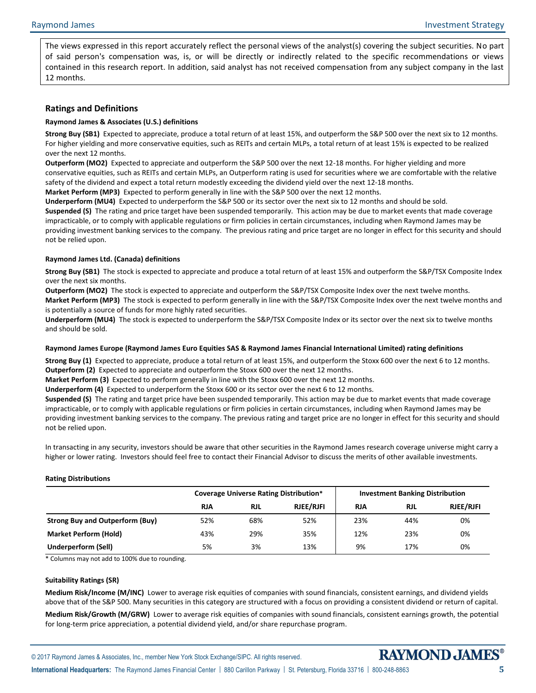The views expressed in this report accurately reflect the personal views of the analyst(s) covering the subject securities. No part of said person's compensation was, is, or will be directly or indirectly related to the specific recommendations or views contained in this research report. In addition, said analyst has not received compensation from any subject company in the last 12 months.

#### **Ratings and Definitions**

#### **Raymond James & Associates (U.S.) definitions**

**Strong Buy (SB1)** Expected to appreciate, produce a total return of at least 15%, and outperform the S&P 500 over the next six to 12 months. For higher yielding and more conservative equities, such as REITs and certain MLPs, a total return of at least 15% is expected to be realized over the next 12 months.

**Outperform (MO2)** Expected to appreciate and outperform the S&P 500 over the next 12-18 months. For higher yielding and more conservative equities, such as REITs and certain MLPs, an Outperform rating is used for securities where we are comfortable with the relative safety of the dividend and expect a total return modestly exceeding the dividend yield over the next 12-18 months.

**Market Perform (MP3)** Expected to perform generally in line with the S&P 500 over the next 12 months.

**Underperform (MU4)** Expected to underperform the S&P 500 or its sector over the next six to 12 months and should be sold. **Suspended (S)** The rating and price target have been suspended temporarily. This action may be due to market events that made coverage impracticable, or to comply with applicable regulations or firm policies in certain circumstances, including when Raymond James may be providing investment banking services to the company. The previous rating and price target are no longer in effect for this security and should not be relied upon.

#### **Raymond James Ltd. (Canada) definitions**

**Strong Buy (SB1)** The stock is expected to appreciate and produce a total return of at least 15% and outperform the S&P/TSX Composite Index over the next six months.

**Outperform (MO2)** The stock is expected to appreciate and outperform the S&P/TSX Composite Index over the next twelve months.

**Market Perform (MP3)** The stock is expected to perform generally in line with the S&P/TSX Composite Index over the next twelve months and is potentially a source of funds for more highly rated securities.

**Underperform (MU4)** The stock is expected to underperform the S&P/TSX Composite Index or its sector over the next six to twelve months and should be sold.

#### **Raymond James Europe (Raymond James Euro Equities SAS & Raymond James Financial International Limited) rating definitions**

**Strong Buy (1)** Expected to appreciate, produce a total return of at least 15%, and outperform the Stoxx 600 over the next 6 to 12 months. **Outperform (2)** Expected to appreciate and outperform the Stoxx 600 over the next 12 months.

**Market Perform (3)** Expected to perform generally in line with the Stoxx 600 over the next 12 months.

**Underperform (4)** Expected to underperform the Stoxx 600 or its sector over the next 6 to 12 months.

**Suspended (S)** The rating and target price have been suspended temporarily. This action may be due to market events that made coverage impracticable, or to comply with applicable regulations or firm policies in certain circumstances, including when Raymond James may be providing investment banking services to the company. The previous rating and target price are no longer in effect for this security and should not be relied upon.

In transacting in any security, investors should be aware that other securities in the Raymond James research coverage universe might carry a higher or lower rating. Investors should feel free to contact their Financial Advisor to discuss the merits of other available investments.

#### **Rating Distributions**

|                                        | <b>Coverage Universe Rating Distribution*</b> |            |                  | <b>Investment Banking Distribution</b> |            |                  |
|----------------------------------------|-----------------------------------------------|------------|------------------|----------------------------------------|------------|------------------|
|                                        | <b>RJA</b>                                    | <b>RJL</b> | <b>RJEE/RJFI</b> | <b>RJA</b>                             | <b>RJL</b> | <b>RJEE/RJFI</b> |
| <b>Strong Buy and Outperform (Buy)</b> | 52%                                           | 68%        | 52%              | 23%                                    | 44%        | 0%               |
| <b>Market Perform (Hold)</b>           | 43%                                           | 29%        | 35%              | 12%                                    | 23%        | 0%               |
| Underperform (Sell)                    | 5%                                            | 3%         | 13%              | 9%                                     | 17%        | 0%               |

\* Columns may not add to 100% due to rounding.

#### **Suitability Ratings (SR)**

**Medium Risk/Income (M/INC)** Lower to average risk equities of companies with sound financials, consistent earnings, and dividend yields above that of the S&P 500. Many securities in this category are structured with a focus on providing a consistent dividend or return of capital.

**Medium Risk/Growth (M/GRW)** Lower to average risk equities of companies with sound financials, consistent earnings growth, the potential for long-term price appreciation, a potential dividend yield, and/or share repurchase program.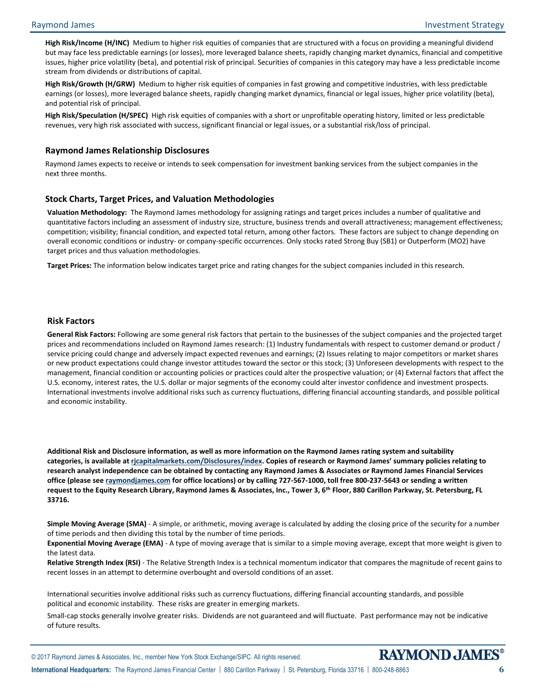**High Risk/Income (H/INC)** Medium to higher risk equities of companies that are structured with a focus on providing a meaningful dividend but may face less predictable earnings (or losses), more leveraged balance sheets, rapidly changing market dynamics, financial and competitive issues, higher price volatility (beta), and potential risk of principal. Securities of companies in this category may have a less predictable income stream from dividends or distributions of capital.

**High Risk/Growth (H/GRW)** Medium to higher risk equities of companies in fast growing and competitive industries, with less predictable earnings (or losses), more leveraged balance sheets, rapidly changing market dynamics, financial or legal issues, higher price volatility (beta), and potential risk of principal.

**High Risk/Speculation (H/SPEC)** High risk equities of companies with a short or unprofitable operating history, limited or less predictable revenues, very high risk associated with success, significant financial or legal issues, or a substantial risk/loss of principal.

#### **Raymond James Relationship Disclosures**

Raymond James expects to receive or intends to seek compensation for investment banking services from the subject companies in the next three months.

#### **Stock Charts, Target Prices, and Valuation Methodologies**

**Valuation Methodology:** The Raymond James methodology for assigning ratings and target prices includes a number of qualitative and quantitative factors including an assessment of industry size, structure, business trends and overall attractiveness; management effectiveness; competition; visibility; financial condition, and expected total return, among other factors. These factors are subject to change depending on overall economic conditions or industry- or company-specific occurrences. Only stocks rated Strong Buy (SB1) or Outperform (MO2) have target prices and thus valuation methodologies.

**Target Prices:** The information below indicates target price and rating changes for the subject companies included in this research.

#### **Risk Factors**

**General Risk Factors:** Following are some general risk factors that pertain to the businesses of the subject companies and the projected target prices and recommendations included on Raymond James research: (1) Industry fundamentals with respect to customer demand or product / service pricing could change and adversely impact expected revenues and earnings; (2) Issues relating to major competitors or market shares or new product expectations could change investor attitudes toward the sector or this stock; (3) Unforeseen developments with respect to the management, financial condition or accounting policies or practices could alter the prospective valuation; or (4) External factors that affect the U.S. economy, interest rates, the U.S. dollar or major segments of the economy could alter investor confidence and investment prospects. International investments involve additional risks such as currency fluctuations, differing financial accounting standards, and possible political and economic instability.

**Additional Risk and Disclosure information, as well as more information on the Raymond James rating system and suitability categories, is available at [rjcapitalmarkets.com/Disclosures/index](http://www.rjcapitalmarkets.com/Disclosures/index). Copies of research or Raymond James' summary policies relating to research analyst independence can be obtained by contacting any Raymond James & Associates or Raymond James Financial Services office (please se[e raymondjames.com](http://www.raymondjames.com/) for office locations) or by calling 727-567-1000, toll free 800-237-5643 or sending a written request to the Equity Research Library, Raymond James & Associates, Inc., Tower 3, 6th Floor, 880 Carillon Parkway, St. Petersburg, FL 33716.**

**Simple Moving Average (SMA)** - A simple, or arithmetic, moving average is calculated by adding the closing price of the security for a number of time periods and then dividing this total by the number of time periods.

**Exponential Moving Average (EMA)** - A type of moving average that is similar to a simple moving average, except that more weight is given to the latest data.

**Relative Strength Index (RSI)** - The Relative Strength Index is a technical momentum indicator that compares the magnitude of recent gains to recent losses in an attempt to determine overbought and oversold conditions of an asset.

International securities involve additional risks such as currency fluctuations, differing financial accounting standards, and possible political and economic instability. These risks are greater in emerging markets.

Small-cap stocks generally involve greater risks. Dividends are not guaranteed and will fluctuate. Past performance may not be indicative of future results.